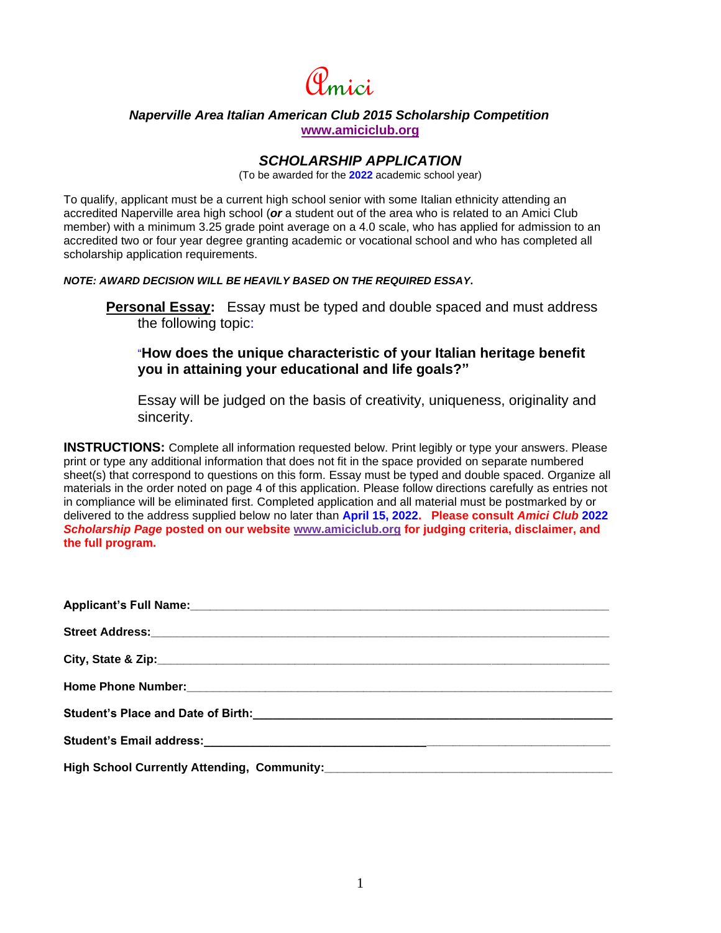

## *Naperville Area Italian American Club 2015 Scholarship Competition* **[www.amiciclub.org](http://www.amiciclub.org/)**

# *SCHOLARSHIP APPLICATION*

(To be awarded for the **2022** academic school year)

To qualify, applicant must be a current high school senior with some Italian ethnicity attending an accredited Naperville area high school (*or* a student out of the area who is related to an Amici Club member) with a minimum 3.25 grade point average on a 4.0 scale, who has applied for admission to an accredited two or four year degree granting academic or vocational school and who has completed all scholarship application requirements.

*NOTE: AWARD DECISION WILL BE HEAVILY BASED ON THE REQUIRED ESSAY***.**

**Personal Essay:** Essay must be typed and double spaced and must address the following topic:

# "**How does the unique characteristic of your Italian heritage benefit you in attaining your educational and life goals?"**

Essay will be judged on the basis of creativity, uniqueness, originality and sincerity.

**INSTRUCTIONS:** Complete all information requested below. Print legibly or type your answers. Please print or type any additional information that does not fit in the space provided on separate numbered sheet(s) that correspond to questions on this form. Essay must be typed and double spaced. Organize all materials in the order noted on page 4 of this application. Please follow directions carefully as entries not in compliance will be eliminated first. Completed application and all material must be postmarked by or delivered to the address supplied below no later than **April 15, 2022. Please consult** *Amici Club* **2022** *Scholarship Page* **posted on our website [www.amiciclub.org](http://www.amiciclub.org/) for judging criteria, disclaimer, and the full program.**

| Applicant's Full Name: Manual Applicant Control of The Manual Applicant Control of The Manual Applicant Control of The Manual Applicant Control of The Manual Applicant Control of The Manual Applicant Control of The Manual |
|-------------------------------------------------------------------------------------------------------------------------------------------------------------------------------------------------------------------------------|
|                                                                                                                                                                                                                               |
|                                                                                                                                                                                                                               |
|                                                                                                                                                                                                                               |
|                                                                                                                                                                                                                               |
|                                                                                                                                                                                                                               |
|                                                                                                                                                                                                                               |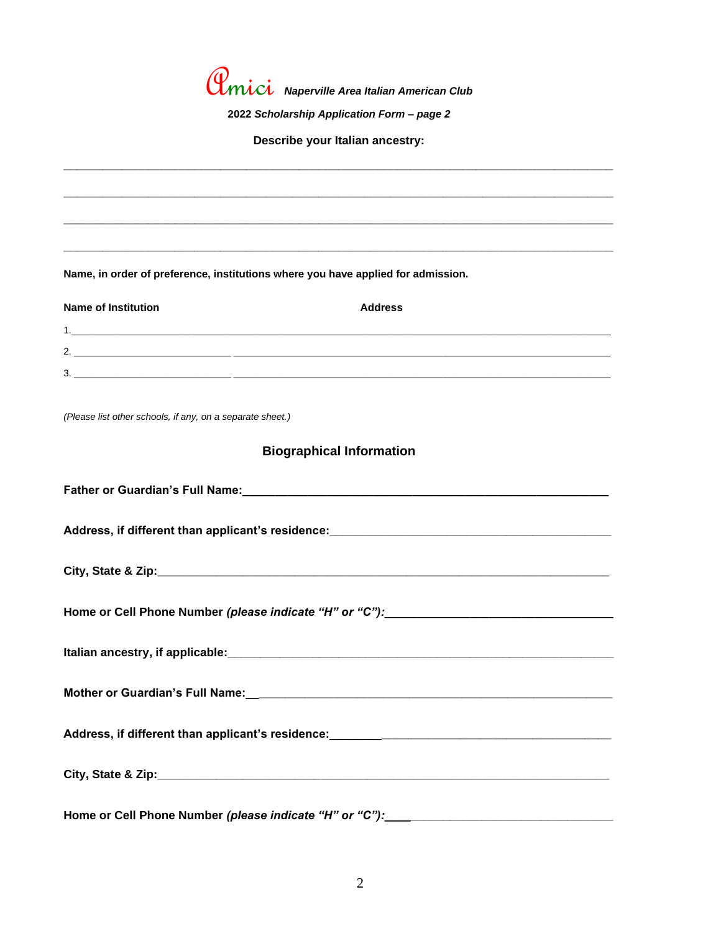Amici *Naperville Area Italian American Club* **2022** *Scholarship Application Form – page 2* **Describe your Italian ancestry: \_\_\_\_\_\_\_\_\_\_\_\_\_\_\_\_\_\_\_\_\_\_\_\_\_\_\_\_\_\_\_\_\_\_\_\_\_\_\_\_\_\_\_\_\_\_\_\_\_\_\_\_\_\_\_\_\_\_\_\_\_\_\_\_\_\_\_\_\_\_\_\_\_\_\_\_\_\_\_\_\_\_\_\_ \_\_\_\_\_\_\_\_\_\_\_\_\_\_\_\_\_\_\_\_\_\_\_\_\_\_\_\_\_\_\_\_\_\_\_\_\_\_\_\_\_\_\_\_\_\_\_\_\_\_\_\_\_\_\_\_\_\_\_\_\_\_\_\_\_\_\_\_\_\_\_\_\_\_\_\_\_\_\_\_\_\_\_\_ \_\_\_\_\_\_\_\_\_\_\_\_\_\_\_\_\_\_\_\_\_\_\_\_\_\_\_\_\_\_\_\_\_\_\_\_\_\_\_\_\_\_\_\_\_\_\_\_\_\_\_\_\_\_\_\_\_\_\_\_\_\_\_\_\_\_\_\_\_\_\_\_\_\_\_\_\_\_\_\_\_\_\_\_ \_\_\_\_\_\_\_\_\_\_\_\_\_\_\_\_\_\_\_\_\_\_\_\_\_\_\_\_\_\_\_\_\_\_\_\_\_\_\_\_\_\_\_\_\_\_\_\_\_\_\_\_\_\_\_\_\_\_\_\_\_\_\_\_\_\_\_\_\_\_\_\_\_\_\_\_\_\_\_\_\_\_\_\_ Name, in order of preference, institutions where you have applied for admission. Name of Institution Address** 1. 2. \_\_\_\_\_\_\_\_\_\_\_\_\_\_\_\_\_\_\_\_\_\_\_\_\_\_\_\_\_\_ \_\_\_\_\_\_\_\_\_\_\_\_\_\_\_\_\_\_\_\_\_\_\_\_\_\_\_\_\_\_\_\_\_\_\_\_\_\_\_\_\_\_\_\_\_\_\_\_\_\_\_\_\_\_\_\_\_\_\_\_\_\_\_\_\_\_\_\_\_\_\_\_  $3. \_\_$ *(Please list other schools, if any, on a separate sheet.)* **Biographical Information Father or Guardian's Full Name:\_\_\_\_\_\_\_\_\_\_\_\_\_\_\_\_\_\_\_\_\_\_\_\_\_\_\_\_\_\_\_\_\_\_\_\_\_\_\_\_\_\_\_\_\_\_\_\_\_\_\_\_\_\_\_\_ Address, if different than applicant's residence:\_\_\_\_\_\_\_\_\_\_\_\_\_\_\_\_\_\_\_\_\_\_\_\_\_\_\_\_\_\_\_\_\_\_\_\_\_\_\_\_\_\_\_** City, State & Zip: **Quarter and City Home or Cell Phone Number** *(please indicate "H" or "C"):\_\_\_\_\_\_\_\_\_\_\_\_\_\_\_\_\_\_\_\_\_\_\_\_\_\_\_\_\_\_\_\_\_\_\_* **Italian ancestry, if applicable:\_\_\_\_\_\_\_\_\_\_\_\_\_\_\_\_\_\_\_\_\_\_\_\_\_\_\_\_\_\_\_\_\_\_\_\_\_\_\_\_\_\_\_\_\_\_\_\_\_\_\_\_\_\_\_\_\_\_\_ Mother or Guardian's Full Name:\_\_\_\_\_\_\_\_\_\_\_\_\_\_\_\_\_\_\_\_\_\_\_\_\_\_\_\_\_\_\_\_\_\_\_\_\_\_\_\_\_\_\_\_\_\_\_\_\_\_\_\_\_\_\_\_ Address, if different than applicant's residence:\_\_\_\_\_\_\_\_\_\_\_\_\_\_\_\_\_\_\_\_\_\_\_\_\_\_\_\_\_\_\_\_\_\_\_\_\_\_\_\_\_\_\_ City, State & Zip:\_\_\_\_\_\_\_\_\_\_\_\_\_\_\_\_\_\_\_\_\_\_\_\_\_\_\_\_\_\_\_\_\_\_\_\_\_\_\_\_\_\_\_\_\_\_\_\_\_\_\_\_\_\_\_\_\_\_\_\_\_\_\_\_\_\_\_\_\_**

**Home or Cell Phone Number** *(please indicate "H" or "C"):\_\_\_\_\_\_\_\_\_\_\_\_\_\_\_\_\_\_\_\_\_\_\_\_\_\_\_\_\_\_\_\_\_\_\_*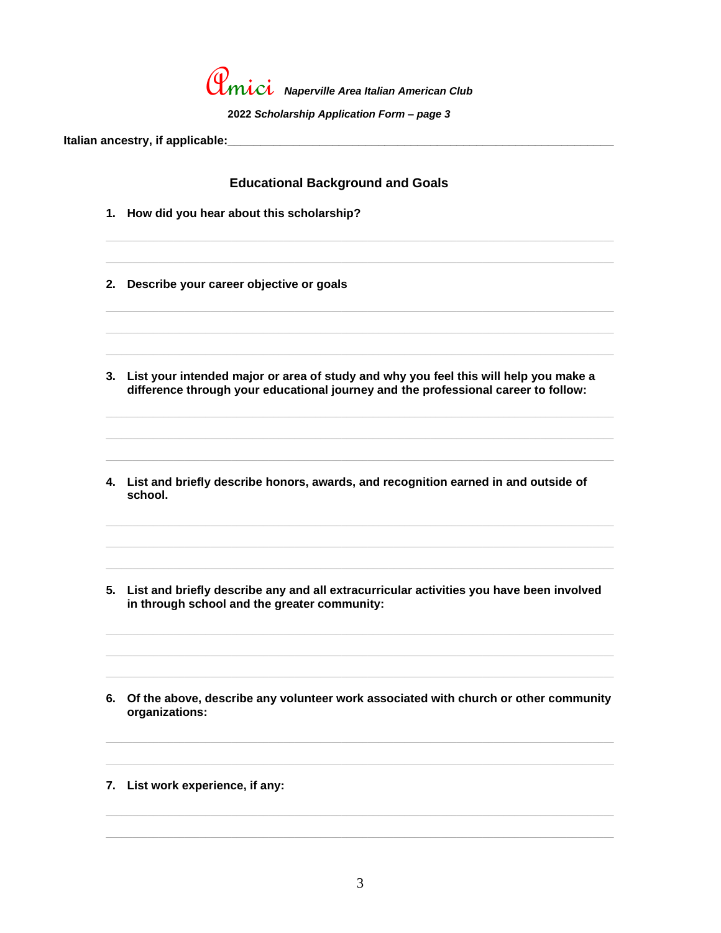

2022 Scholarship Application Form - page 3

## **Educational Background and Goals**

- 1. How did you hear about this scholarship?
- 2. Describe your career objective or goals
- 3. List your intended major or area of study and why you feel this will help you make a difference through your educational journey and the professional career to follow:
- 4. List and briefly describe honors, awards, and recognition earned in and outside of school.
- 5. List and briefly describe any and all extracurricular activities you have been involved in through school and the greater community:
- 6. Of the above, describe any volunteer work associated with church or other community organizations:
- 7. List work experience, if any: